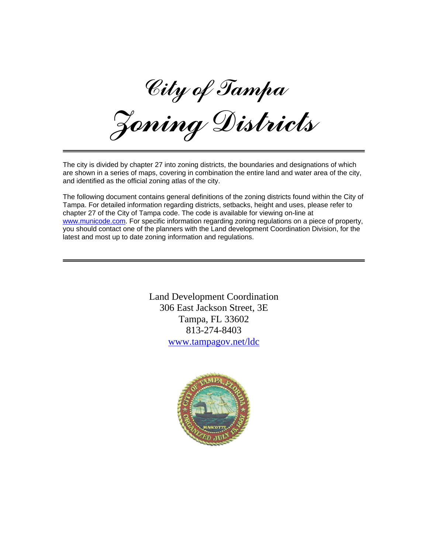City of Tampa

Zoning Districts

The city is divided by chapter 27 into zoning districts, the boundaries and designations of which are shown in a series of maps, covering in combination the entire land and water area of the city, and identified as the official zoning atlas of the city.

The following document contains general definitions of the zoning districts found within the City of Tampa. For detailed information regarding districts, setbacks, height and uses, please refer to chapter 27 of the City of Tampa code. The code is available for viewing on-line at [www.municode.com.](http://www.municode.com/resources/ClientCode_List.asp?cn=Tampa&sid=9&cid=4583) For specific information regarding zoning regulations on a piece of property, you should contact one of the planners with the Land development Coordination Division, for the latest and most up to date zoning information and regulations.

> Land Development Coordination 306 East Jackson Street, 3E Tampa, FL 33602 813-274-8403 [www.tampagov.net/ldc](http://www.tampagov.net/ldc)

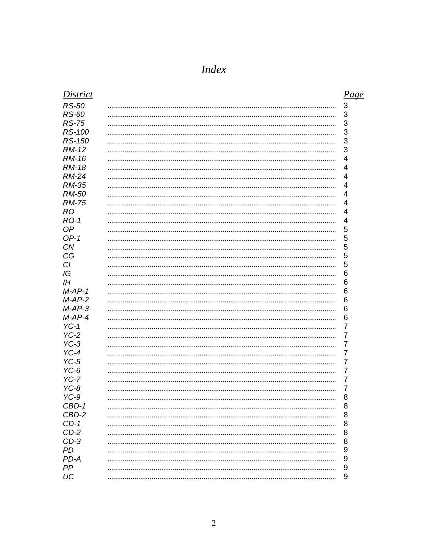| <b>District</b> | Page            |
|-----------------|-----------------|
| <b>RS-50</b>    | 3               |
| <b>RS-60</b>    | 3               |
| <b>RS-75</b>    | 3               |
| RS-100          | 3               |
| <b>RS-150</b>   | 3               |
| <b>RM-12</b>    | 3               |
| <b>RM-16</b>    | 4               |
| <b>RM-18</b>    | 4               |
| <b>RM-24</b>    | 4               |
| <b>RM-35</b>    | 4               |
| <b>RM-50</b>    | 4               |
| <b>RM-75</b>    | 4               |
| <b>RO</b>       | 4               |
| $RO-1$          | 4               |
| OP              | 5               |
| $OP-1$          | 5               |
| <b>CN</b>       | 5               |
| CG              | 5               |
| CI              | 5               |
| IG              | 6               |
| ΙH              | 6               |
| $M-AP-1$        | $6\phantom{1}6$ |
| $M-AP-2$        | 6               |
| $M$ -AP-3       | 6               |
| $M$ -AP-4       | 6               |
| $YC-1$          | 7               |
| $YC-2$          | 7               |
| $YC-3$          | 7               |
| $YC-4$          | 7               |
| $YC-5$          | 7               |
| $YC-6$          | 7               |
| $YC-7$          | 7               |
| $YC-8$          | 7               |
| $YC-9$          | 8               |
| CBD-1           | ୪               |
| CBD-2           | 8               |
| $CD-1$          | 8               |
| $CD-2$          | 8               |
| $CD-3$          | 8               |
| PD              | 9               |
| PD-A            | 9               |
| PP              | 9               |
| UC              | 9               |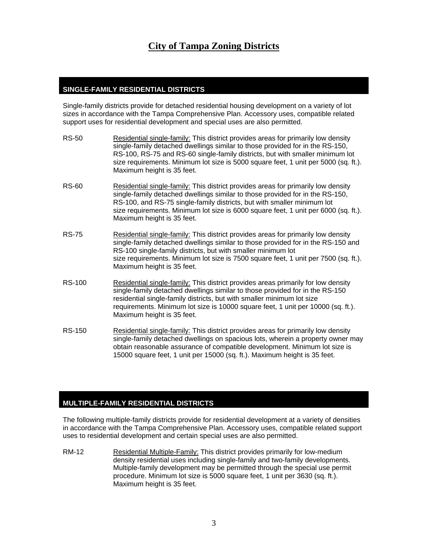# **City of Tampa Zoning Districts**

### **SINGLE-FAMILY RESIDENTIAL DISTRICTS**

Single-family districts provide for detached residential housing development on a variety of lot sizes in accordance with the Tampa Comprehensive Plan. Accessory uses, compatible related support uses for residential development and special uses are also permitted.

| <b>RS-50</b>  | Residential single-family: This district provides areas for primarily low density<br>single-family detached dwellings similar to those provided for in the RS-150,<br>RS-100, RS-75 and RS-60 single-family districts, but with smaller minimum lot<br>size requirements. Minimum lot size is 5000 square feet, 1 unit per 5000 (sq. ft.).<br>Maximum height is 35 feet. |
|---------------|--------------------------------------------------------------------------------------------------------------------------------------------------------------------------------------------------------------------------------------------------------------------------------------------------------------------------------------------------------------------------|
| <b>RS-60</b>  | Residential single-family: This district provides areas for primarily low density<br>single-family detached dwellings similar to those provided for in the RS-150,<br>RS-100, and RS-75 single-family districts, but with smaller minimum lot<br>size requirements. Minimum lot size is 6000 square feet, 1 unit per 6000 (sq. ft.).<br>Maximum height is 35 feet.       |
| <b>RS-75</b>  | Residential single-family: This district provides areas for primarily low density<br>single-family detached dwellings similar to those provided for in the RS-150 and<br>RS-100 single-family districts, but with smaller minimum lot<br>size requirements. Minimum lot size is 7500 square feet, 1 unit per 7500 (sq. ft.).<br>Maximum height is 35 feet.               |
| <b>RS-100</b> | Residential single-family: This district provides areas primarily for low density<br>single-family detached dwellings similar to those provided for in the RS-150<br>residential single-family districts, but with smaller minimum lot size<br>requirements. Minimum lot size is 10000 square feet, 1 unit per 10000 (sq. ft.).<br>Maximum height is 35 feet.            |
| RS-150        | Residential single-family: This district provides areas for primarily low density<br>single-family detached dwellings on spacious lots, wherein a property owner may<br>obtain reasonable assurance of compatible development. Minimum lot size is<br>15000 square feet, 1 unit per 15000 (sq. ft.). Maximum height is 35 feet.                                          |

# **MULTIPLE-FAMILY RESIDENTIAL DISTRICTS**

The following multiple-family districts provide for residential development at a variety of densities in accordance with the Tampa Comprehensive Plan. Accessory uses, compatible related support uses to residential development and certain special uses are also permitted.

RM-12 Residential Multiple-Family: This district provides primarily for low-medium density residential uses including single-family and two-family developments. Multiple-family development may be permitted through the special use permit procedure. Minimum lot size is 5000 square feet, 1 unit per 3630 (sq. ft.). Maximum height is 35 feet.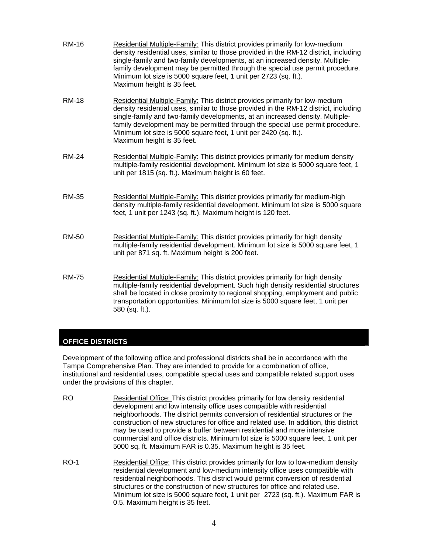| <b>RM-16</b> | Residential Multiple-Family: This district provides primarily for low-medium<br>density residential uses, similar to those provided in the RM-12 district, including<br>single-family and two-family developments, at an increased density. Multiple-<br>family development may be permitted through the special use permit procedure.<br>Minimum lot size is 5000 square feet, 1 unit per 2723 (sq. ft.).<br>Maximum height is 35 feet. |
|--------------|------------------------------------------------------------------------------------------------------------------------------------------------------------------------------------------------------------------------------------------------------------------------------------------------------------------------------------------------------------------------------------------------------------------------------------------|
| <b>RM-18</b> | Residential Multiple-Family: This district provides primarily for low-medium<br>density residential uses, similar to those provided in the RM-12 district, including<br>single-family and two-family developments, at an increased density. Multiple-<br>family development may be permitted through the special use permit procedure.<br>Minimum lot size is 5000 square feet, 1 unit per 2420 (sq. ft.).<br>Maximum height is 35 feet. |
| <b>RM-24</b> | Residential Multiple-Family: This district provides primarily for medium density<br>multiple-family residential development. Minimum lot size is 5000 square feet, 1<br>unit per 1815 (sq. ft.). Maximum height is 60 feet.                                                                                                                                                                                                              |
| <b>RM-35</b> | Residential Multiple-Family: This district provides primarily for medium-high<br>density multiple-family residential development. Minimum lot size is 5000 square<br>feet, 1 unit per 1243 (sq. ft.). Maximum height is 120 feet.                                                                                                                                                                                                        |
| <b>RM-50</b> | Residential Multiple-Family: This district provides primarily for high density<br>multiple-family residential development. Minimum lot size is 5000 square feet, 1<br>unit per 871 sq. ft. Maximum height is 200 feet.                                                                                                                                                                                                                   |
| <b>RM-75</b> | Residential Multiple-Family: This district provides primarily for high density<br>multiple-family residential development. Such high density residential structures<br>shall be located in close proximity to regional shopping, employment and public<br>transportation opportunities. Minimum lot size is 5000 square feet, 1 unit per<br>580 (sq. ft.).                                                                               |

# **OFFICE DISTRICTS**

Development of the following office and professional districts shall be in accordance with the Tampa Comprehensive Plan. They are intended to provide for a combination of office, institutional and residential uses, compatible special uses and compatible related support uses under the provisions of this chapter.

RO Residential Office: This district provides primarily for low density residential development and low intensity office uses compatible with residential neighborhoods. The district permits conversion of residential structures or the construction of new structures for office and related use. In addition, this district may be used to provide a buffer between residential and more intensive commercial and office districts. Minimum lot size is 5000 square feet, 1 unit per 5000 sq. ft. Maximum FAR is 0.35. Maximum height is 35 feet.

RO-1 Residential Office: This district provides primarily for low to low-medium density residential development and low-medium intensity office uses compatible with residential neighborhoods. This district would permit conversion of residential structures or the construction of new structures for office and related use. Minimum lot size is 5000 square feet, 1 unit per 2723 (sq. ft.). Maximum FAR is 0.5. Maximum height is 35 feet.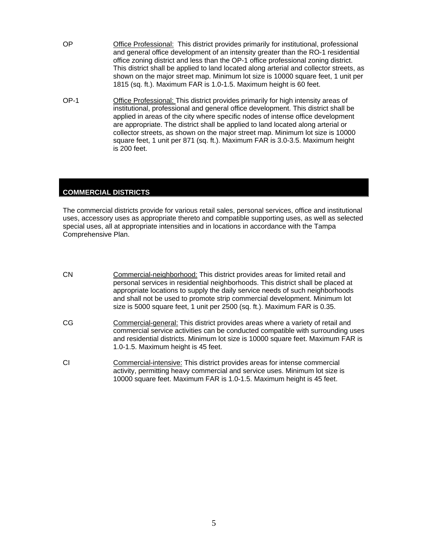- OP Office Professional: This district provides primarily for institutional, professional and general office development of an intensity greater than the RO-1 residential office zoning district and less than the OP-1 office professional zoning district. This district shall be applied to land located along arterial and collector streets, as shown on the major street map. Minimum lot size is 10000 square feet, 1 unit per 1815 (sq. ft.). Maximum FAR is 1.0-1.5. Maximum height is 60 feet.
- OP-1 Office Professional: This district provides primarily for high intensity areas of institutional, professional and general office development. This district shall be applied in areas of the city where specific nodes of intense office development are appropriate. The district shall be applied to land located along arterial or collector streets, as shown on the major street map. Minimum lot size is 10000 square feet, 1 unit per 871 (sq. ft.). Maximum FAR is 3.0-3.5. Maximum height is 200 feet.

# **COMMERCIAL DISTRICTS**

The commercial districts provide for various retail sales, personal services, office and institutional uses, accessory uses as appropriate thereto and compatible supporting uses, as well as selected special uses, all at appropriate intensities and in locations in accordance with the Tampa Comprehensive Plan.

CN Commercial-neighborhood: This district provides areas for limited retail and personal services in residential neighborhoods. This district shall be placed at appropriate locations to supply the daily service needs of such neighborhoods and shall not be used to promote strip commercial development. Minimum lot size is 5000 square feet, 1 unit per 2500 (sq. ft.). Maximum FAR is 0.35. CG Commercial-general: This district provides areas where a variety of retail and commercial service activities can be conducted compatible with surrounding uses and residential districts. Minimum lot size is 10000 square feet. Maximum FAR is 1.0-1.5. Maximum height is 45 feet. CI Commercial-intensive: This district provides areas for intense commercial activity, permitting heavy commercial and service uses. Minimum lot size is 10000 square feet. Maximum FAR is 1.0-1.5. Maximum height is 45 feet.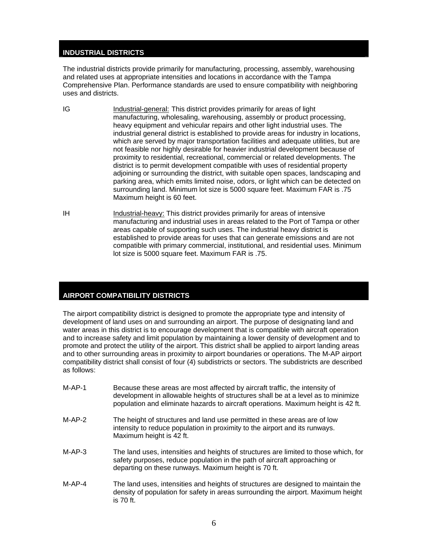#### **INDUSTRIAL DISTRICTS**

The industrial districts provide primarily for manufacturing, processing, assembly, warehousing and related uses at appropriate intensities and locations in accordance with the Tampa Comprehensive Plan. Performance standards are used to ensure compatibility with neighboring uses and districts.

- IG Industrial-general: This district provides primarily for areas of light manufacturing, wholesaling, warehousing, assembly or product processing, heavy equipment and vehicular repairs and other light industrial uses. The industrial general district is established to provide areas for industry in locations, which are served by major transportation facilities and adequate utilities, but are not feasible nor highly desirable for heavier industrial development because of proximity to residential, recreational, commercial or related developments. The district is to permit development compatible with uses of residential property adjoining or surrounding the district, with suitable open spaces, landscaping and parking area, which emits limited noise, odors, or light which can be detected on surrounding land. Minimum lot size is 5000 square feet. Maximum FAR is .75 Maximum height is 60 feet.
- IH Industrial-heavy: This district provides primarily for areas of intensive manufacturing and industrial uses in areas related to the Port of Tampa or other areas capable of supporting such uses. The industrial heavy district is established to provide areas for uses that can generate emissions and are not compatible with primary commercial, institutional, and residential uses. Minimum lot size is 5000 square feet. Maximum FAR is .75.

#### **AIRPORT COMPATIBILITY DISTRICTS**

The airport compatibility district is designed to promote the appropriate type and intensity of development of land uses on and surrounding an airport. The purpose of designating land and water areas in this district is to encourage development that is compatible with aircraft operation and to increase safety and limit population by maintaining a lower density of development and to promote and protect the utility of the airport. This district shall be applied to airport landing areas and to other surrounding areas in proximity to airport boundaries or operations. The M-AP airport compatibility district shall consist of four (4) subdistricts or sectors. The subdistricts are described as follows:

- M-AP-1 Because these areas are most affected by aircraft traffic, the intensity of development in allowable heights of structures shall be at a level as to minimize population and eliminate hazards to aircraft operations. Maximum height is 42 ft.
- M-AP-2 The height of structures and land use permitted in these areas are of low intensity to reduce population in proximity to the airport and its runways. Maximum height is 42 ft.
- M-AP-3 The land uses, intensities and heights of structures are limited to those which, for safety purposes, reduce population in the path of aircraft approaching or departing on these runways. Maximum height is 70 ft.
- M-AP-4 The land uses, intensities and heights of structures are designed to maintain the density of population for safety in areas surrounding the airport. Maximum height is 70 ft.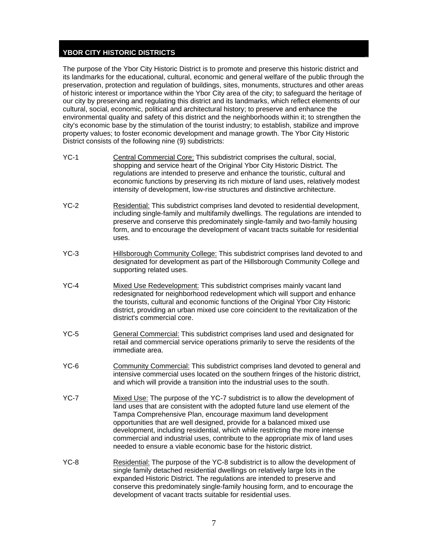#### **YBOR CITY HISTORIC DISTRICTS**

The purpose of the Ybor City Historic District is to promote and preserve this historic district and its landmarks for the educational, cultural, economic and general welfare of the public through the preservation, protection and regulation of buildings, sites, monuments, structures and other areas of historic interest or importance within the Ybor City area of the city; to safeguard the heritage of our city by preserving and regulating this district and its landmarks, which reflect elements of our cultural, social, economic, political and architectural history; to preserve and enhance the environmental quality and safety of this district and the neighborhoods within it; to strengthen the city's economic base by the stimulation of the tourist industry; to establish, stabilize and improve property values; to foster economic development and manage growth. The Ybor City Historic District consists of the following nine (9) subdistricts:

- YC-1 Central Commercial Core: This subdistrict comprises the cultural, social, shopping and service heart of the Original Ybor City Historic District. The regulations are intended to preserve and enhance the touristic, cultural and economic functions by preserving its rich mixture of land uses, relatively modest intensity of development, low-rise structures and distinctive architecture.
- YC-2 Residential: This subdistrict comprises land devoted to residential development, including single-family and multifamily dwellings. The regulations are intended to preserve and conserve this predominately single-family and two-family housing form, and to encourage the development of vacant tracts suitable for residential uses.
- YC-3 Hillsborough Community College: This subdistrict comprises land devoted to and designated for development as part of the Hillsborough Community College and supporting related uses.
- YC-4 Mixed Use Redevelopment: This subdistrict comprises mainly vacant land redesignated for neighborhood redevelopment which will support and enhance the tourists, cultural and economic functions of the Original Ybor City Historic district, providing an urban mixed use core coincident to the revitalization of the district's commercial core.
- YC-5 General Commercial: This subdistrict comprises land used and designated for retail and commercial service operations primarily to serve the residents of the immediate area.
- YC-6 Community Commercial: This subdistrict comprises land devoted to general and intensive commercial uses located on the southern fringes of the historic district, and which will provide a transition into the industrial uses to the south.
- YC-7 Mixed Use: The purpose of the YC-7 subdistrict is to allow the development of land uses that are consistent with the adopted future land use element of the Tampa Comprehensive Plan, encourage maximum land development opportunities that are well designed, provide for a balanced mixed use development, including residential, which while restricting the more intense commercial and industrial uses, contribute to the appropriate mix of land uses needed to ensure a viable economic base for the historic district.
- YC-8 Residential: The purpose of the YC-8 subdistrict is to allow the development of single family detached residential dwellings on relatively large lots in the expanded Historic District. The regulations are intended to preserve and conserve this predominately single-family housing form, and to encourage the development of vacant tracts suitable for residential uses.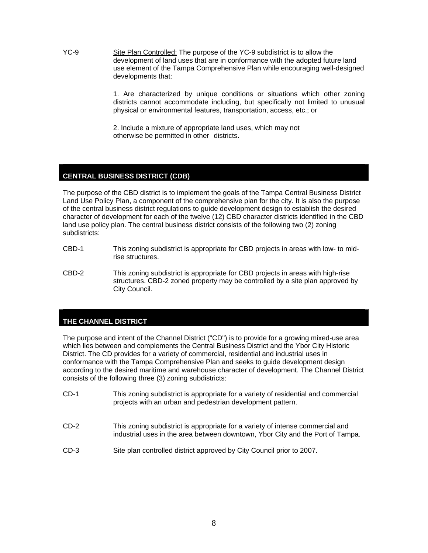YC-9 Site Plan Controlled: The purpose of the YC-9 subdistrict is to allow the development of land uses that are in conformance with the adopted future land use element of the Tampa Comprehensive Plan while encouraging well-designed developments that:

> 1. Are characterized by unique conditions or situations which other zoning districts cannot accommodate including, but specifically not limited to unusual physical or environmental features, transportation, access, etc.; or

 2. Include a mixture of appropriate land uses, which may not otherwise be permitted in other districts.

# **CENTRAL BUSINESS DISTRICT (CDB)**

The purpose of the CBD district is to implement the goals of the Tampa Central Business District Land Use Policy Plan, a component of the comprehensive plan for the city. It is also the purpose of the central business district regulations to guide development design to establish the desired character of development for each of the twelve (12) CBD character districts identified in the CBD land use policy plan. The central business district consists of the following two (2) zoning subdistricts:

- CBD-1 This zoning subdistrict is appropriate for CBD projects in areas with low- to mid rise structures.
- CBD-2 This zoning subdistrict is appropriate for CBD projects in areas with high-rise structures. CBD-2 zoned property may be controlled by a site plan approved by City Council.

# **THE CHANNEL DISTRICT**

The purpose and intent of the Channel District ("CD") is to provide for a growing mixed-use area which lies between and complements the Central Business District and the Ybor City Historic District. The CD provides for a variety of commercial, residential and industrial uses in conformance with the Tampa Comprehensive Plan and seeks to guide development design according to the desired maritime and warehouse character of development. The Channel District consists of the following three (3) zoning subdistricts:

- CD-1 This zoning subdistrict is appropriate for a variety of residential and commercial projects with an urban and pedestrian development pattern.
- CD-2 This zoning subdistrict is appropriate for a variety of intense commercial and industrial uses in the area between downtown, Ybor City and the Port of Tampa.
- CD-3 Site plan controlled district approved by City Council prior to 2007.